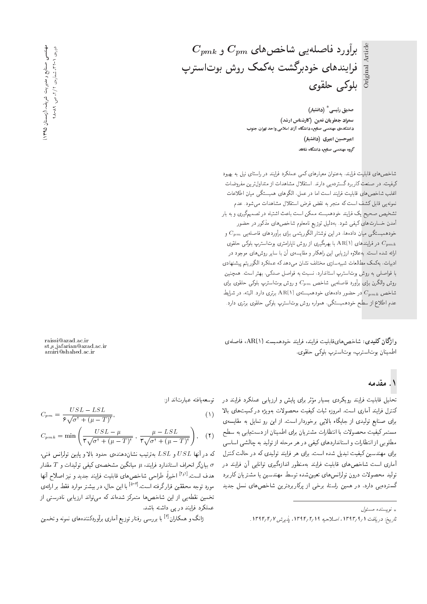$C_{pmk}$  برأورد فاصلهیبی شاخصهای  $C_{pm}$  و Original Article فرايندهاى خودبرگشت بەكمك روش بوتاسترپ بلوكي حلقوى

> صدیق رئیسی $^{\ast}$  (دانشیار) سمراد جعفریان نمین (کارشناس ارشد) دانشکدهی مهندسی صنایع، دانشگاه آزاد اسلامی واحد تهران جنوب امیرحسین امیری (دانشیار) ۔<br>گروہ مهندسی صنایع، دانشگاہ شاهد

شاخص های قابلیت فرایند، به عنوان معیارهای کمی عملکرد فرایند در راستای نیل به بهبود کیفیت، در صنعت کاربرد گستردهیی دارند. استقلال مشاهدات از متداول ترین مفروضات اغلب شاخصهای قابلیت فرایند است اما در عمل، الگوهای همبستگی میان اطلاعات نمونهیی قابل کشف است که منجر به نقض فرض استقلال مشاهدات می شود. عدم تشخیص صحیح یک فرایند خودهمبسته ممکن است باعث اشتباه در تصمیمگیری و به بار .<br>آمدن خسارتهای کیفی شود. بهدلیل توزیع نامعلوم شاخص های مذکور در حضور خودهمبستگی میان دادهها، در این نوشتار الگوریتمی برای برآوردهای فاصلهیی  $C_{pm}$  و در فرایندهای (۱ AR(۱ با بهرهگیری از روش ناپارامتری بوت $C_{pmk}$ ارائه شده است. به علاوه ارزیابی این راهکار و مقایسهی آن با سایر روش های موجود در ادبیات، بهکمک مطالعات شبیهسازی مختلف نشان می دهد که عملکرد الگوریتم پیشنهادی با فواصلی به روش بوتاسترپ استاندارد. نسبت به فواصل صدکی، بهتر است. همچنین روش والكرن براى برآورد فاصلهيى شاخص  $C_{pm}$  و روش بوت $\cdot$ استرپ بلوكى حلقوى براى شاخص  $C_{pmk}$  در حضور دادههای خودهمبسته $\mathrm{AR}(\Lambda)$  برتری دارد. البته، در شرایط عدم اطلاع از سطح خودهمبستگی، همواره روش بوتاسترپ بلوکی حلقوی برتری دارد.

واژگان کلیدی: شاخص هایقابلیت فرایند، فرایند خودهمبسته (۱ AR۱، فاصلهی اطمينان بوتاسترپ، بوتاسترپ بلوكي حلقوي.

### ۱. مقدمه

تحلیل قابلیت فرایند رویکردی بسیار مؤثر برای پایش و ارزیابی عملکرد فرایند در توسعه یافته عبارت اند از: كنترل فرايند آمارى است. امروزه ثبات كيفيت محصولات بهويژه دركميتهاى بالا برای صنایع تولیدی از جایگاه بالایی برخوردار است. از این رو تمایل به مقایسهی مستمرکیفیت محصولات با انتظارات مشتریان برای اطمینان از دست یابی به سطح مطلوبی از انتظارات و استانداردهای کیفی در هر مرحله از تولید به چالشی اساسی برای مهندسین کیفیت تبدیل شده است. برای هر فرایند تولیدی که در حالت کنترل آماری است شاخصهای قابلیت فرایند بهمنظور اندازهگیری توانایی آن فرایند در تولید محصولات درون تولرانس های تعیینشده توسط مهندسین یا مشتریان کاربرد گسترده یی دارد. در همین راستا، برخی از پرکاربردترین شاخص های نسل جدید

\* نويسنده مسئول

$$
C_{pm} = \frac{USL - LSL}{\hat{\mathbf{y}}\sqrt{\sigma^{\mathbf{y}} + (\mu - T)^{\mathbf{y}}}},\tag{1}
$$

raissi@azad.ac.ir<br>st\_s\_jafarian@azad.ac.ir<br>amiri@shahed.ac.ir

$$
C_{pmk} = \min\left(\frac{USL - \mu}{\mathsf{T}\sqrt{\sigma^{\mathsf{T}} + (\mu - T)^{\mathsf{T}}}} , \frac{\mu - LSL}{\mathsf{T}\sqrt{\sigma^{\mathsf{T}} + (\mu - T)^{\mathsf{T}}}}\right), \quad (\mathsf{T})
$$

که در آنها  $USL$  و  $LSL$  بهترتیب نشاندهنده $\mathbf c$  حدود بالا و پایین تولرانس فنی، بیانگر انحراف استاندارد فرایند،  $\mu$  میانگین مشخصهی کیفی تولیدات و  $T$  مقدار  $\sigma$ هدف است.<sup>[۱۶۱]</sup> اخیراً، طراحی شاخصهای قابلیت فرایند جدید و نیز اصلاح آنها مورد توجه محققین قرارگرفته است.<sup>[۵-۲]</sup> با این حال، در بیشتر موارد فقط بر ارائهی تخمین نقطهیی از این شاخصها متمرکز شدهاند که می تواند ارزیابی نادرستی از عملکرد فرایند در یی داشته باشد.

ژانگ و همکاران<sup>[۶]</sup> با بررسی رفتار توزیع آماری برآوردکنندههای نمونه و تخمین

تاريخ: دريافت ١ /٩٣٦٦، اصلاحيه ١٣٩٢/٢/١٣٩٢، يذيرش ١٣٩٢/٢/١.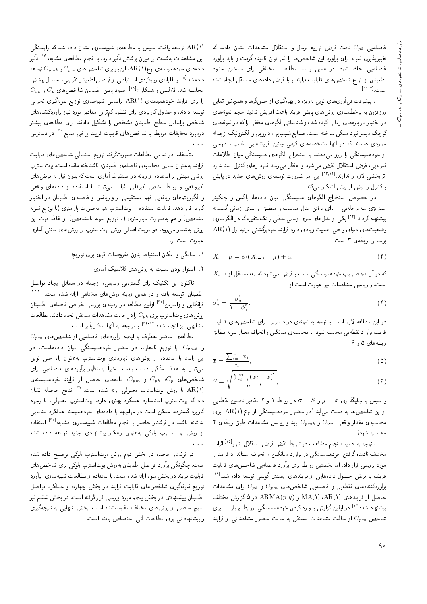فاصلهیی  $C_{pk}$  تحت فرض توزیع نرمال و استقلال مشاهدات نشان دادند که تغییرپذیری نمونه برای برآورد این شاخص۵ا را نمیتوان نادیده گرفت و باید برآورد فاصلهيى لحاظ شود. در همين راستا، مطالعات مختلفى براى ساختن حدود اطمينان از انواع شاخص هاى قابليت فرايند و با فرض داده هاى مستقل انجام شده است.<sup>[۱۱-۷]</sup><br>"

با پیشرفت فنآوریهای نوین بهویژه در بهرهگیری از حس&ها و همچنین تمایل روزافزون به برخطسازى روش هاى پايش فرايند باعث افزايش شديد حجم نمونه هاى در اختیار در بازههای زمانی کوتاه شده و شناسائی الگوهای مخفی راکه در نمونههای كوچك ميسر نبود ممكن ساخته است. صنايع شيميايي، دارويي و الكترونيك ازجمله مواردی هستند که در آنها مشخصههای کیفی چنین فرایندهایی اغلب سطوحی از خودهمبستگی را بروز میدهند. با استخراج الگوهای همبستگی میان اطلاعات نمونه یی، فرض استقلال نقض میشود و به نظر می رسد نمودارهای کنترل استاندارد اثربخشی لازم را ندارند.<sup>[۱۳</sup>۰<sup>۱۲]</sup> این امر ضرورت توسعه ی روش های جدید در پایش<br>کمر اصلیت باید با توکیلیسکن وكنترل را بيش از پيش أشكار مى كند.

در خصوص استخراج الگوهای همبستگی میان دادهها، باکس و جنکینز استراتژی سهمرحله بی را برای یافتن مدل مناسب و منطبق بر سری زمانی گسسته پیشنهاد کردند.<sup>[۱۲]</sup> یکی از مدل های سری زمانی خطی و تک متغیره که در الگوسازی<br>مقامت استفاده استفاده استفاده استفاده استفاده باشد و تخصیص استفاده که در وضعیتهای دنیای واقعی اهمیت زیادی دارد فرایند خودبرگشتی مرتبه اول (۱ AR( براساس رابطهى ٣ است:

$$
X_t - \mu = \phi_1(X_{t-1} - \mu) + a_t,
$$
\n<sup>(**T**)</sup>

 $X_{t-1}$  که در آن ۵٫۱ ضریب خودهمبستگی است و فرض میشود که  $a_t$  مستقل از است. واريانس مشاهدات نيز عبارت است از:

$$
\sigma_x^{\dagger} = \frac{\sigma_a^{\dagger}}{1 - \phi_1^{\dagger}}.
$$
 (†)

در این مطالعه لازم است با توجه به نمونهی در دسترس برای شاخص های قابلیت فرايند، برآورد نقطهيى محاسبه شود. با محاسبهى ميانگين و انحراف معيار نمونه مطابق رابطههای ۵ و ۶:

$$
\bar{x} = \frac{\sum_{i=1}^{n} x_i}{n},\tag{0}
$$

$$
S = \sqrt{\frac{\sum_{i=1}^{n} (x_i - \bar{x})^{\mathsf{T}}}{n - 1}},\tag{9}
$$

و سپس با جایگذاری  $\bar{x} = \mu = S$  و  $\sigma = \sigma$  در روابط ۱ و ۲ مقادیر تخمین نقطهیی از این شاخصها به دست میآید (در حضور خودهمبستگی از نوع (AR(۱ برای ۴ محاسبه ی مقدار واقعی  $C_{pm}$  و  $C_{pm}$  باید واریانس مشاهدات طبق رابطه ی محاسبه شود).

با توجه به اهمیت انجام مطالعات در شرایط نقض فرض استقلال، شور<sup>[۱۵]</sup> اثرات<br>مسطح میستگیند مختلف ناديده گرفتن خودهمبستگى در برآورد ميانگين و انحراف استاندارد فرايند را مورد بررسی قرار داد. اما نخستین روابط برای برآورد فاصله یی شاخص های قابلیت فرایند، با فرض حصول دادههایی از فرایندهای ایستای گوسی توسعه داده شد.<sup>[۱۶]</sup><br>آیستمریک ایستان برآوردکنندههای نقطهیی و فاصلهیی شاخصهای  $C_{pm}$  و  $C_{pk}$  برای مشاهدات اسال از فرایندهای (AR(۱)، ARMA(p, q) و ARMA(p, q) در ۵ گزارش مختلف ییشنهاد شد؛<sup>[۱۱]</sup> در اولین گزارش با وارد کردن خودهمبستگی، روابط بویلز<sup>[۱۱]</sup> برای<br>ما در مطالب ایران شاخص  $C_{pm}$  از حالت مشاهدات مستقل به حالت حضور مشاهداتی از فرایند

(AR(۱ توسعه یافت. سیس با مطالعهی شبیهسازی نشان داده شد که وابستگی بین مشاهدات بهشدت بر میزان پوشش تأثیر دارد. با انجام مطالعه، مشابه، <sup>[۱۶</sup>] تأثیر<br>بارستان دادههای خودهمبستهی نوع (۱ \AR) اینبار برای شاخص های  $C_{pm}$  و  $C_{pm}$  توسعه داده شد<sup>[۱۸]</sup> و با ارائهی رو یکردی استنباطی از فواصل اطمینان تقریبی، احتمال پوشش<br>میلیار در ۱۸۹۰  $C_{p\bm{k}}$  محاسبه شد. لاولیس و همکاران $^{[\,\prime\,]}$ حدود پایین اطمینان شاخص های و  $C_{p}$  و  $C_{p}$ را برای فرایند خودهمبستهی AR(۱) براساس شبیهسازی توزیع نمونهگیری تجربی توسعه دادند، و جداول کاربردی برای تنظیم کم ترین مقادیر مورد نیاز برآوردکنندههای شاخص براساس سطح اطمينان مشخص را تشكيل دادند. براى مطالعهى بيشتر درمورد تحقیقات مرتبط با شاخصهای قابلیت فرایند برخی منابع<sup>[۲۰]</sup> در دسترس<br>ا است.

متأسفانه، در تمامی مطالعات صورتگرفته توزیع احتمالی شاخص های قابلیت فرايند به عنوان اساس محاسبهى فاصلهى اطمينان، ناشناخته مانده است. بوتاسترپ روشی مبتنی بر استفاده از رایانه در استنباط آماری است که بدون نیاز به فرض های غیرواقعی و روابط خاص غیرقابل اثبات می تواند با استفاده از دادههای واقعی و الكوريتم هاى رايانهيى فهم مستقيمى از واريانس و فاصلهى اطمينان در اختيار کاربر قرار دهد. قابلیت استفاده از بوتاسترپ هم بهصورت پارامتری (با توزیع نمونه مشخص) و هم به صورت ناپارامتری (با توزیع نمونه نامشخص) از نقاط قوت این روش بهشمار می رود. دو مزیت اصلی روش بوتاسترپ بر روش های سنتی آماری عبارت است از:

- ۰۱ سادگی و امکان استنباط بدون مفروضات قوی برای توزیع؛
	- ۲. استوار بودن نسبت به روش های کلاسیک آماری.

تاکنون این تکنیک برای گسترهیی وسیعی، ازجمله در مسائل ایجاد فواصل اطمینان، توسعه یافته و در همین زمینه روشهای مختلفی ارائه شده است.<sup>[۲۲٫۲۱</sup>]<br>زبانکار استان ایرانی و ایرانی ایران فرانکلین و واسرمن<sup>[۲۳]</sup> اولین مطالعه در زمینهی بررسی خواص فاصلهی اطمینان روش های بوتاسترپ برای  $C_{pk}$  را در حالت مشاهدات مستقل انجام دادند. مطالعات مشابهی نیز انجام شده<sup>|۲۶-۲۲</sup> و مراجعه به آنها امکان پذیر است.<br>الله

 $C_{pm}$  مطالعه $\sigma$  حاضر معطوف به ایجاد برآوردهای فاصلهیی از شاخص های و  $C_{pmk}$ ، با توزیع نامعلوم، در حضور خودهمبستگی میان دادههاست. در این راستا با استفاده از روشهای ناپارامتری بوت|سترپ بهعنوان راه حلمی نوین میتوان به هدف مذکور دست یافت. اخیرا بهمنظور برآوردهای فاصلهیی برای<br>ماره سال میرکسیس شاخصهای  $C_p$ ،  $C_{pm}$  و  $C_{pm}$ ، دادههای حاصل از فرایند خودهمبستهی AR(۱) ا روش بوتاسترپ معمولی ارائه شده است.<sup>[۲۷]</sup> نتایج حاصله نشان  $\mathrm{AR}(\mathsf{I})$ داد که بوتاسترپ استاندارد عملکرد بهتری دارد. بوتاسترپ معمولی، با وجود كاربرد گسترده، ممكن است در مواجهه با دادههاى خودهمبسته عملكرد مناسبي نداشته باشد. در نوشتار حاضر با انجام مطالعات شبیهسازی مشابه،<sup>[۲۷]</sup> استفاده<br>ا از روش بوتاسترپ بلوكى بهعنوان راهكار پيشنهادى جديد توسعه داده شده است.<br>-

در نوشتار حاضر، در بخش دوم روش بوتاسترپ بلوکی توضیح داده شده<br>گرگت به توسیل ایران اسلام است. چگونگی برآورد فواصل اطمینان بهروش بوتاسترپ بلوکی برای شاخص های قابلیت فرایند در بخش سوم ارائه شده است. با استفاده از مطالعات شبیهسازی، برآورد توزیع نمونهگیری شاخصهای قابلیت فرایند در بخش چهارم، و عملکرد فواصل اطمینان پیشنهادی در بخش پنجم مورد بررسی قرارگرفته است. در بخش ششم نیز نتایج حاصل از روش۵ای مختلف مقایسهشده است. بخش انتهایی به نتیجهگیری و بيشنهاداتي براى مطالعات أتى اختصاص يافته است.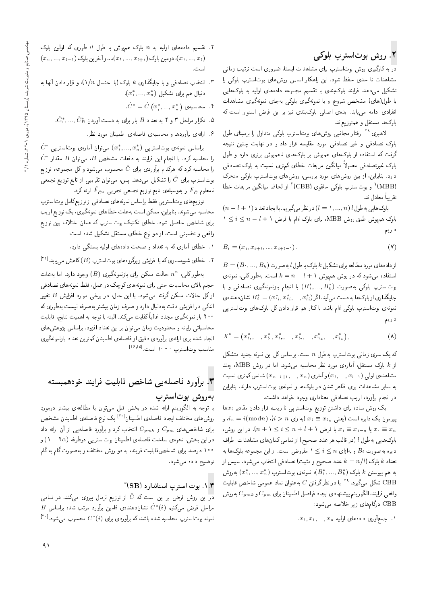# ۲. روش بوتاسترپ بلوکی

در به کارگیری روش بوتاسترپ برای مشاهدات ایستا، ضروری است ترتیب زمانی مشاهدات تا حدی حفظ شود. این راهکار اساس روش های بوتاسترپ بلوکی را تشکیل می،دهد. فرایند بلوکبندی با تقسیم مجموعه دادههای اولیه به بلوکهایی با طول(های) مشخص شروع، و با نمونهگیری بلوکی بهجای نمونهگیری مشاهدات انفرادی ادامه می یابد. ایدهی اصلی بلوکبندی نیز بر این فرض استوار است که بلوکها مستقل و همتوزیعاند.

لاهیری<sup>[۲۸]</sup> رفتار مجانبی روشهای بوت|سترپ بلوکی متداول را برمبنای طول بلوک تصادفی و غیر تصادفی مورد مقایسه قرار داد و در نهایت چنین نتیجه گرفت که استفاده از بلوکهای همهوش بر بلوکهای ناهمهوش برتری دارد و طول بلوک غیرتصادفی معمولاً میانگین مربعات خطای کم,تری نسبت به بلوک تصادفی دارد. بنابراین، از بین روش های مورد بررسی، روش های بوتاسترپ بلوکی متحرک (MBB)' و بوتاسترپ بلوکی حلقوی (CBB)' از لحاظ میانگین مربعات خطا تقريبا معادلاند.

 $(n-l+1)$ بلوک هایی به طول  $(l=1,...,n)$  در نظر می گیریم. با ایجاد تعداد  $1 \leq i \leq n-l+1$  بلوک همهوش طبق روش MBB. برای بلوک  $i$ ام با فرض  $l+1 \leq j \leq n-1$ داریم:

$$
B_i = (x_i, x_{i+1}, ..., x_{i+l-1}).
$$
\n<sup>(V)</sup>

 $B=(B_1,...,B_k)$ از دادههای مورد مطالعه برای تشکیل  $k$  بلوک با طول  $l$  به صورت استفاده می شود که در روش هم پوش  $l + k = n - k = k$  است. به طور کلی، نمونهی بوتاسترپ بلوکمی بهصورت  $(B_1^*,...,B_k^*)$  با انجام بازنمونهگیری تصادفی و با جايگذاري از بلوک ها به دست مي آيد. اگر  $(x^*_i,...,x^*_i,...,x^*_n) = F^*_i$  نشا ن دهندهي نمونهی بوتاسترپ بلوکی iام باشد باکنار هم قرار دادن کل بلوکهای بوتاستر پی داریم:

$$
X^* = \left(x_{1_1}^*, \ldots, x_{l_1}^*, x_{1_1}^*, \ldots, x_{l_1}^*, \ldots, x_{1_k}^*, \ldots, x_{l_k}^*\right),\tag{A}
$$

که یک سری زمانی بوتاسترپ بهطول n است. براساس کل این نمونه جدید متشکل از & بلوک مستقل، آمارهی مورد نظر محاسبه می شود. اما در روش MBB، چند مشاهدهی اولی ( د ۲, ..., ., a) و آخری ( ۲, ..., ., x ) شانس کم تری نسبت به سایر مشاهدات برای ظاهر شدن در بلوکها و نمونهی بوتاسترپ دارند. بنابراین در انجام برآورد، اريب تصادفي معناداري وجود خواهد داشت.

یک روش ساده برای داشتن توزیع بوتاستریبی نااریب، قرار دادن مقادیر  $x_i$ ها  $i_n = i(\bmod n)$  پیرامون یک دایره است (یعنبی  $x_i \equiv x_{i_n}$  (بهازای  $i > n$ )،  $i$ با فرض  $i \leq n + l + 1 \leq i \leq n + l + 1$ . در این روش،  $x_i \equiv x_{i-n}$  در این روش، بلوک هایی به طول I (در قالب هر عدد صحیح) از تمامی کمان های مشاهدات اطراف دایره به صورت  $B_i$  و به|زای  $i\leq i\leq n$  مفروض است. از این مجموعه بلوکها به تعداد & بلوک (k = n/l عدد صحیح و مثبت) تصادفی انتخاب میشود. سپس از به هم پیوستن  $k$  بلوک  $(B_1^*,...,B_k^*)$ ، نمونهی بوت $(x_1^*,...,x_n^*)$  بهروش شکل میگیرد. $^{\mathsf{[r1]}}$  با در نظرگرفتن  $C$  به عنوان نماد عمومی شاخص قابلیت  $\mathrm{CBB}$ واقعی فرایند، الگوریتم پیشنهادی ایجاد فواصل اطمینان برای  $C_{pm}$  و  $C_{pm}$  بهروش CBB درگامهای زیر خلاصه میشود:

 $x_1, x_1, ..., x_n$  اب جمعآوری دادههای اولیه  $x_1, ..., x_n$ 

- ۲. تقسیم دادههای اولیه به n بلوک همپوش با طول l؛ طوری که اولین بلوک  $(x_n, ..., x_{l-1})$  دومین بلوک  $(x_1, ..., x_{l+1})$ ... و آخرین بلوک ( $x_1, ..., x_l$ است.
- ۳. انتخاب تصادفی و با جایگذاری k بلوک (با احتمال ۱/n)، و قرار دادن آنها به . دنبال هم برای تشکیل  $(x^{*},...,x^{*})$ 
	- $\hat{C}^* = \hat{C} (x_1^*,..., x_n^*)$  . محاسبه ی. ۴
	- - ۶. ارائهى برأوردها و محاسبهى فاصلهى اطمينان مورد نظر.

 $\hat{C}^*$  براساس نمونهی بوتاستریبی  $(x_1^*,...,x_n^*)$  می $\vec{u}$ ان آمارهی بوتاستریب  $\hat{C}^*$  را محاسبه کرد. با انجام این فرایند به دفعات مشخص  $B$ ، می $\bar{\bf e}$  مقدار را محاسبه کرد که هرکدام برآوردی برای  $\hat{C}$  محسوب می شود و کل مجموعه، توزیع بوتاسترپ برای  $\hat{C}$  را تشکیل میدهد. پس، می $\vec{~}$ وان تقریبی از تابع توزیع تجمعی نامعلوم  $F_{\hat{C}}$  را بهوسیلهی تابع توزیع تجمعی تجربی  $\hat{F}_{\hat{C}^*}$  ارائه کرد.

توزیعهای بوتاسترپی فقط براساس نمونههای تصادفی از توزیع کامل بوتاسترپ محاسبه میشوند. بنابراین، ممکن است بهعلت خطاهای نمونهگیری، یک توزیع اریب برای شاخص حاصل شود. خطای تکنیک بوتاسترپ که همان اختلاف بین توزیع واقعی و تخمینی است، از دو نوع خطای مستقل تشکیل شده است:

- ۱. خطای آماری که به تعداد و صحت دادههای اولیه بستگی دارد،
- ۲ . خطای شبیهسازی که با افزایش زیرگروههای بوتاسترپ (B) کاهش می یابد.<sup>[۱۱]</sup>

بهطور کلمی،  $n^n$  حالت ممکن برای بازنمونهگیری  $(B)$  وجود دارد. اما به علت حجم بالای محاسبات حتی برای نمونههای کوچک در عمل، فقط نمونههای تصادفی ازکل حالات ممکن گرفته میشود. با این حال، در برخی موارد افزایش B تغییر اندکی در افزایش دقت بهدنبال دارد و صرف زمان بیشتر به صرفه نیست بهطوری که ° ۲۰ بار نمونهگیری مجدد غالباً کفایت میکند. البته با توجه به اهمیت نتایج، قابلیت محاسباتی رایانه و محدودیت زمان می توان بر این تعداد افزود. براساس پژوهش های انجام شده برای ارائهی برآوردی دقیق از فاصلهی اطمینان کم ترین تعداد بازنمونهگیری مناسب بوتاسترپ • • • • ١ است. [٢٤:٢٥]

## ۳. برأورد فاصلهيى شاخص قابليت فرايند خودهمبسته بەروش بوتاسترپ

با توجه به الگوریتم ارائه شده در بخش قبل میتوان با مطالعهی بیشتر درمورد روشرهای مختلف ایجاد فاصلهی اطمینان<sup>[۳۰]</sup> یک نوع فاصلهی اطمینان مشخص برای شاخصهای  $C_{pm}$  و  $C_{pmk}$  انتخاب کرد و برآورد فاصلهیی از آن ارائه داد در این بخش، نحوهی ساخت فاصلهی اطمینان بوتاستریبی دوطرفه (۲۵ – ۱) و <sup>ه ۱۰</sup> درصد برای شاخصقابلیت فرایند، به دو روش مختلف و بهصورت گام به گام توضيح داده مى شود.

#### ۰۱.۳ بوت استرپ استاندارد (SB)

در این روش فرض بر این است که  $\hat{C}$  از توزیع نرمال پیروی میکند. در تمامی  $B$  مراحل فرض میکنیم  $\hat{C}^{*}(i)$  نشاندهنده $i$  اامین برآورد مرتب شده براساس نمونه بوتاسترپ محاسبه شده باشد، که برآوردی برای  $C^*(i)$  محسوب میشود. $^{[\mathbf{r}\circ]}$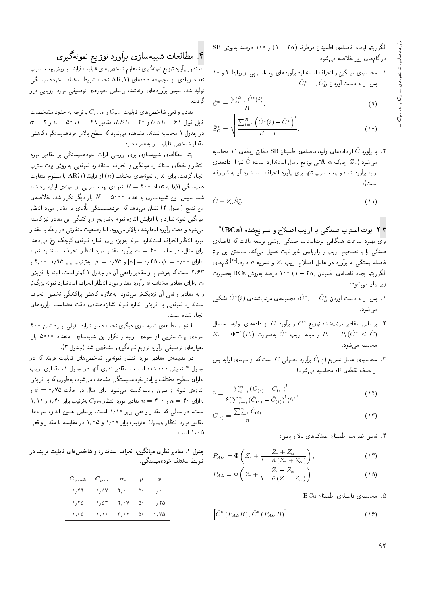$\text{SB}$  الكوريتم ايجاد فاصلهى اطمينان دوطرفه (٢ $\alpha$  ) و ١٠٠ درصد بهروش درگامهای زیر خلاصه میشود:

۰۱ محاسبه ی میانگین و انحراف استاندارد برآوردهای بوتاستر پی از روابط ۹ و ۱۰  $\hat{C}_1^*,...,\hat{C}_B^*$ یس از به دست آوردن

$$
\hat{C}^* = \frac{\sum_{i=1}^B \hat{C}^*(i)}{B},\tag{4}
$$

$$
\hat{S}_{C}^{*} = \sqrt{\frac{\sum_{i=1}^{B} (\hat{C}^{*}(i) - \hat{C}^{*})^{T}}{B - 1}}.
$$
\n(1°)

. با برآورد  $\hat{C}$  از دادههای اولیه، فاصلهی اطمینان SB مطابق رابطهی ۱۱ محاسبه  $\hat{C}$  ب میشود ( $Z_{\alpha}$  چارک  $\alpha$  بالایی توزیع نرمال استاندارد است؛  $\hat{C}$  نیز از دادههای اولیه برآورد شده و بوتاسترپ تنها برای برآورد انحراف استاندارد آن به کار رفته است):

$$
\hat{C} \pm Z_{\alpha} \hat{S}_{C}^{*}.
$$
 (1)

۲.۳. بوت استرپ صدکی با اریب اصلاح و تسریعشده (BCa) .<br>برای بهبود سرعت همگرایی بوتاسترپ صدکی روشی توسعه یافت که فاصلهی صدکی را با تصحیح اریب و واریانس غیر ثابت تعدیل میکند. ساختن این نوع فاصله بستگی به برآورد دو عامل اصلاح اریب ،Z و تسریع a دارد.<sup>[۳۰]</sup> گامهای الكوريتم ايجاد فاصلهى اطمينان (١٥ – ١) ١٥٠ درصد بهروش BCa بهصورت زیر بیان می شود:

- ۰۱ پس از به دست آوردن  $\hat{C}_B^*,...,\hat{C}_B^*$ ، مجموعهی مرتب شده ی $\hat{C}^*(i)$  تشکیل  $\hat{C}^*(i)$ مے شود.
- ۰۲ . براساس مقادیر مرتبشده توزیع \* $C^*$  و برآورد  $\hat{C}$  از دادههای اولیه، احتمال  $Z_* \,=\, \Phi^{-1}(P_*)$  و میانه اریب  $\hat{C}^*$  بهصورت  $P_* \,=\, P_r(\hat{C}^* \,\leq\, \hat{C})$ محاسبه می شود.
- ۳. محاسبهى عامل تسريع ( $\hat{C}_{(i)}$  برآورد معمولى  $C$  است كه از نمونهى اوليه يس $\cdot$ از حذف نقطهی  $i$ ام محاسبه میشود):

$$
\hat{a} = \frac{\sum_{i=1}^{n} (\hat{C}_{(*)} - \hat{C}_{(i)})^{\dagger}}{\mathcal{F}(\sum_{i=1}^{n} (\hat{C}_{(*)} - \hat{C}_{(i)})^{\dagger})^{\dagger} \mathbf{y}^{\dagger}},
$$
\n(11)

$$
\hat{C}(\cdot) = \frac{\sum_{i=1}^{n} \hat{C}(i)}{n}.
$$
\n(17)

۴. تعیین ضریب اطمینان صدکهای بالا و پایین:

$$
P_{AU} = \Phi \left( Z. + \frac{Z. + Z_{\alpha}}{1 - \hat{a} (Z. + Z_{\alpha})} \right), \tag{15}
$$

$$
P_{AL} = \Phi\left(Z_{\cdot} + \frac{Z_{\cdot} - Z_{\alpha}}{1 - \hat{a}(Z_{\cdot} - Z_{\alpha})}\right). \tag{12}
$$

۵. محاسبهى فاصلهى اطمينان BCa:

$$
\left[\hat{C}^*\left(P_{AL}B\right), \hat{C}^*\left(P_{AU}B\right)\right].\tag{19}
$$

### ۴. مطالعات شبیهسازی برآورد توزیع نمونهگیری

بهمنظور برأورد توزيع نمونهگيري نامعلوم شاخص هاي قابليت فرايند، با روش بوتاسترپ تعداد زیادی از مجموعه دادههای (AR(۱ تحت شرایط مختلف خودهمبستگی تولید شد. سپس برآوردهای ارائهشده براساس معیارهای توصیفی مورد ارزیابی قرار گرفت.

مقادیرواقعی شاخص های قابلیت  $C_{pm}$ و  $C_{pm}$  با توجه به حدود مشخصات  $\sigma = \mathcal{N}$  قابل قبول ۶۱ $L = V$  و ۴۰ $L = S$ ، مقادیر ۴۹ $T = \mathcal{N}$ ، ۵۰  $\mu = \mathcal{N}$  و ۶ در جدول ۱ محاسبه شدند. مشاهده می شود که سطح بالاتر خودهمبستگی، کاهش مقدار شاخص قابليت را به همراه دارد.

ابتدا مطالعهی شبیهسازی برای بررسی اثرات خودهمبستگی بر مقادیر مورد انتظار و خطای استاندارد میانگین و انحراف استاندارد نمونهیی به روش بوتاسترپ انجام گرفت. برای اندازه نمونههای مختلف  $(n)$  از فرایند (۱ AR(۱ با سطوح متفاوت همبستگی (¢) به تعداد ۲۰۰ = B نمونهی بوتاستریبی از نمونهی اولیه برداشته شد. سپس، این شبیهسازی به تعداد ۵۰۰۰  $N= N$  بار دیگر تکرار شد. خلاصه $\omega$ این نتایج (جدول ۲) نشان می،دهد که خودهمبستگی تأثیری بر مقدار مورد انتظار میانگین نمونه ندارد و با افزایش اندازه نمونه بهتدریج از پراکندگی این مقادیر نیزکاسته می شود و دقت برآورد انجام شده بالاتر می رود. اما وضعیت متفاوتی در رابطه با مقدار مورد انتظار انحراف استاندارد نمونه بهویژه برای اندازه نمونهی کوچک رخ می دهد. برای مثال، در حالت ۴۰ = n، برآورد مقدار مورد انتظار انحراف استاندارد نمونه بهازای ۰٫۰۰ = |¢|، ۲۵؍۰ = |¢| و ۰٫۷۵ = |¢| بهترتیب برابر ۱٫۹۵، ۲٫۰۰ و ٢٫۶٣ است كه بهوضوح از مقادير واقعي أن در جدول ١ كم تر است. البته با افزايش بهازای مقادیر مختلف  $\phi$  برآورد مقدار مورد انتظار انحراف استاندارد نمونه بزرگ تر $n$ و به مقادیر واقعی آن نزدیکتر میشود. به علاوه، کاهش پراکندگی تخمین انحراف استاندارد نمونهيى با افزايش اندازه نمونه نشان دهندهى دقت مضاعف برأوردهاى انجام شده است.

با انجام مطالعهی شبیهسازی دیگری تحت همان شرایط قبلی، و برداشتن ۲۰۰ نمونهی بوتاستری<sub>ی</sub> از نمونهی اولیه و تکرار این شبیهسازی بهتعداد ۵۰۰۰ بار، معیارهای توصیفی برآورد توزیع نمونهگیری مشخص شد (جدول ۳).

در مقایسهی مقادیر مورد انتظار نمونهی<sub>ی</sub> شاخصهای قابلیت فرایند که در جدول ۳ نمایش داده شده است با مقادیر نظری آنها در جدول ۱، مقداری اریب بهازای سطوح مختلف پارامتر خودهمبستگی مشاهده میشود، بهطوری که با افزایش اندازوی نمونه از میزان اریب کاسته مه شود. برای مثال در حالت ۷۵ *(* ۰ = ۵ و ۱٬۱۱ بارای ۴۰ = n و ۴۰۰ = n مقادیر مورد انتظار  $C_{pm}$  بهترتیب برابر ۱٬۴۰ و ۱٬۱۱ است، در حالی که مقدار واقعی برابر ١/١٠ است. براساس همین اندازه نمونهها، مقادیر مورد انتظار  $C_{pmk}$  بهترتیب برابر ۱٫۰۷ و ۱٫۰۵ در مقایسه با مقدار واقعبی ۰۵ ۱٫۰ است.

جدول ۱. مقادیر نظری میانگین، انحراف استاندارد و شاخص های قابلیت فرایند در شرايط مختلف خودهممستگى.

| $C_{pmk}$ | $C_{\bm{p}\bm{m}}$ | $\sigma_x$                                     | $\mu$ | $ \phi $ |
|-----------|--------------------|------------------------------------------------|-------|----------|
| ۲٫۴۹      | ۱٬۵۷               | $\mathsf{r}_{\scriptscriptstyle{I}}\circ\circ$ | ۵۰    | 0/0.0    |
| ۱٬۴۵      | ۱٬۵۳               | ۲٫۰۷                                           | ۵۰    | ۲۵ ک     |
| ۰۵ (۱     | いい                 | $\mathbf{r}_{1}\cdot\mathbf{r}$                | ٥٠    | ۷۵ ک     |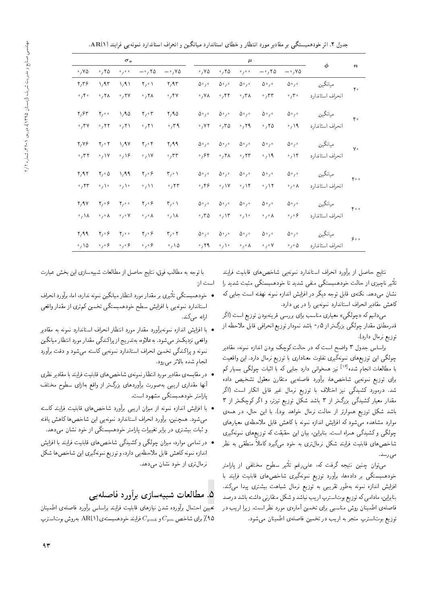جدول ۲. اثر خودهمبستگی بر مقادیر مورد انتظار و خطای استاندارد میانگین و انحراف استاندارد نمونه یی فرایند (AR(۱.

|                            |                                   | $\sigma_x$                            |                                    |                                   |                          |                          | $\mu$                            |                                  |                                | $\phi$           |                  |
|----------------------------|-----------------------------------|---------------------------------------|------------------------------------|-----------------------------------|--------------------------|--------------------------|----------------------------------|----------------------------------|--------------------------------|------------------|------------------|
| $\cdot$ , Y $\Delta$       | $\cdot$ , ۲۵                      | 0/0.0                                 | $-\cdot$ , ۲۵                      | $-°/°$                            | $\cdot$ , Y $\Delta$     | $\cdot$ ,۲۵              | 0/0.0                            | $-\circ$ , ۲۵                    | $-\gamma V\Delta$              |                  | $\boldsymbol{n}$ |
| $\mathbf{y}_i\mathbf{y}_j$ | 1/97                              | $\lambda / \lambda$                   | $\mathsf{Y}_\ell \cdot \mathsf{Y}$ | $\mathbf{y}/\mathbf{A}\mathbf{r}$ | $\Delta$ ° / $\circ$     | $\Delta$ ° / °           | $\Delta$ ° / $\circ$             | $\Delta \cdot$ / $\cdot$         | $\Delta \circ \rho$            | ميانگين          | $\mathbf{Y}$ .   |
| $\cdot$ , $\mathfrak{e}$   | $\cdot$ , ۲۸                      | $\cdot$ , ۲۷                          | $\cdot$ , ۲۸                       | $\cdot$ ,۴۷                       | $\cdot$ , Y A            | $\cdot$ ,۴۴              | $\cdot$ ,۳۸                      | $\cdot$ , $\mathsf{r}\mathsf{r}$ | $\cdot$ , $\mathsf{r}$ .       | انحراف استاندارد |                  |
| $\mathbf{y}/\mathbf{y}$    | $\mathbf{Y}_{I}$ o o              | 1/90                                  | $\mathbf{Y}_f \circ \mathbf{Y}$    | Y/90                              | $\Delta \cdot$ / $\cdot$ | $\Delta$ ° / °           | $\Delta$ ° / °                   | $\Delta \cdot$ / $\cdot$         | $\Delta \circ \iota \circ$     | ميانگين          | $\mathfrak{e}$ . |
| $^{\circ}$ / $^{\circ}$ V  | $\cdot$ , ۲۲                      | $\cdot$ /۲۱                           | $\cdot$ , ۲۱                       | $\cdot$ , ۳۹                      | $\cdot$ , $\vee$ $\vee$  | $\cdot$ , ۳۵             | $\cdot$ , ۲۹                     | $\cdot$ , ۲۵                     | $\cdot$ / 19                   | انحراف استاندارد |                  |
| $Y/V$ ۶                    | $\mathbf{Y}_f \circ \mathbf{Y}$   | $\sqrt{4V}$                           | $\mathbf{Y}_f \circ \mathbf{Y}$    | $\mathbf{y}/\mathbf{A}$           | $\Delta \cdot$ / $\cdot$ | $\Delta \cdot$ / $\cdot$ | $\Delta \circ$ / $\circ$         | $\Delta$ ° / °                   | $\Delta \circ \iota \circ$     | ميانگين          | ٧٠               |
| $\cdot$ , $\mathsf{r}$     | $\cdot$ , \Y                      | $\cdot$ / $\sqrt{2}$                  | $\cdot$ / $\vee$                   | $\cdot$ , $\tau\tau$              | ۶۴، ه                    | $\cdot$ , ۲ $\lambda$    | $\cdot$ , ۲۳                     | $\cdot$ /9                       | .19                            | انحراف استأندارد |                  |
| $\mathbf{y}_1$             | $\mathbf{Y}_1 \circ \Delta$       | $\gamma$ ۹۹                           | $\mathbf{Y}_f \circ \mathbf{S}$    | $\mathbf{r}_{i} \cdot \mathbf{v}$ | $\Delta \circ$ / $\circ$ | $\Delta$ ° / °           | $\Delta \cdot$ / $\cdot$         | $\Delta$ ° / $\circ$             | $\Delta \circ \rho$            | ميانگين          | $Y \circ \circ$  |
| $\cdot$ , ۲۳               | $\cdot$ / $\cdot$                 | $\mathfrak{g} \setminus \mathfrak{g}$ | $\cdot$ / \ \                      | $\cdot$ , ۲۳                      | $\cdot$ , ۴۶             | $\cdot$ / $\vee$         | $\cdot$ / $\gamma$               | $\cdot$ / $\gamma$               | $\cdot$ , $\cdot$ $\wedge$     | انحراف استاندارد |                  |
| Y/9V                       | $\mathbf{y}_i \circ \mathbf{y}_i$ | $\mathbf{Y}_{\ell} \circ \mathbf{0}$  | $\mathbf{Y}_I \circ \mathbf{S}$    | $\mathbf{r}_{1}\cdot\mathbf{1}$   | $\Delta \circ$ / $\circ$ | $\Delta \cdot$ / $\circ$ | $\Delta$ $^{\circ}$ / $^{\circ}$ | $\Delta$ ° / °                   | $\Delta \circ \rho$            | ميانگين          | $Y \circ \circ$  |
| $\cdot$ , \ $\lambda$      | $\cdot$ , $\cdot$ $\wedge$        | $\cdot$ , $\cdot$ Y                   | $\circ$ , $\circ$ $\wedge$         | $\cdot$ , \ $\lambda$             | $\cdot$ , ۳۵             | $\cdot$ /۱۳              | $\cdot$ / $\cdot$                | $\circ$ , $\circ$ $\wedge$       | $\circ$ $\gamma \circ \varphi$ | انحراف استأندارد |                  |
| $\mathbf{y}/\mathbf{y}$    | $\mathbf{Y}_f \circ \mathbf{S}$   | $\mathbf{Y}_{\ell} \circ \mathbf{0}$  | $\mathbf{Y}_1 \circ \mathbf{S}$    | r, r                              | $\Delta \cdot$ / $\cdot$ | $\Delta \cdot$ / $\cdot$ | $\Delta$ ° / $\circ$             | $\Delta$ ° / $\circ$             | $\Delta \circ \iota \circ$     | ميانگين          | $\varphi$ .      |
| $\cdot$ / \ $\circ$        | $\circ$ , $\circ$ $\circ$         | $\circ$ , $\circ$ $\circ$             | $\circ$ , $\circ$ $\circ$          | $\cdot$ , 10                      | $\cdot$ , $\uparrow$ 9.  | $\circ$ , \ $\circ$      | $\circ$ , $\circ$ $\wedge$       | $\circ$ , $\circ$ $\vee$         | $\circ$ , $\circ$ $\Delta$     | انحراف استاندارد |                  |

نتایج حاصل از برآورد انحراف استاندارد نمونهیی شاخص های قابلیت فرایند تاثیر ناچیزی از حالت خودهمبستگی منفی شدید تا خودهمبستگی مثبت شدید را<br>سداری میکریسی که سویل میستم نشان میدهد. نکتهی قابل توجه دیگر در افزایش اندازه نمونه نهفته است جایی که كاهش مقادير انحراف استاندارد نمونه يي را در يي دارد.

میدانیم که «چولگی» معیاری مناسب برای بررسی قرینهبودن توزیع است (اگر قدرمطلق مقدار چولگی بزرگ تر از ۰٫۵ باشد نمودار توزیع انحرافی قابل ملاحظه از توزيع نرمال دارد).

براساس جدول ٣ واضح است كه در حالت كوچك بودن اندازه نمونه، مقادير چولگی این توزیعهای نمونهگیری تفاوت معناداری با توزیع نرمال دارد. این واقعیت با مطالعات انجام شده<sup>[۱۶</sup> نیز همخوانی دارد جایی که با اثبات چولگی بسیار کم<br>با برای توزیع نمونه $_{2Q}$  شاخصها، برآورد فاصلهیی متقارن معقول تشخیص داده شد. درمورد کشیدگی نیز اختلاف با توزیع نرمال غیر قابل انکار است (اگر مقدار معیار کشیدگی بزرگ تر از ۳ باشد شکل توزیع تیزتر، و اگر کوچک تر از ۳ باشد شکل توزیع هموارتر از حالت نرمال خواهد بود). با این حال، در همهی موارد مشاهده مى شود كه افزايش اندازه نمونه با كاهش قابل ملاحظهى معيارهاى چولگی و کشیدگی همراه است. بنابراین، بیان این حقیقت که توزیعهای نمونهگیری شاخص های قابلیت فرایند شکل نرمال تری به خود م<sub>ه م</sub>گیرد کاملاً منطقی به نظر مى رىمد

می توان چنین نتیجه گرفت که، علی رغم تاثیر سطوح مختلفی از پارامتر<br>گرفت گرفت استان آن و می دیگر میدانید استان میدان خودهمبستگی بر دادهها، برآورد توزیع نمونهگیری شاخص های قابلیت فرایند با افزایش اندازه نمونه بهطور تقریبی به توزیع نرمال شباهت بیشتری پیدا میکند. بنابراین، مادامی که توزیع بوتاسترپ اریب نباشد و شکل متقارنی داشته باشد درصد فاصلهى اطمينان روش مناسبي براى تخمين آمارهى مورد نظر است. زيرا اريب در توزيع بوتاسترب منجر به اريب در تخمين فاصلهى اطمينان مى شود.

با توجه به مطالب فوق، نتايج حاصل از مطالعات شبيهسازى اين بخش عبارت است از:

- خودهمبستگی تاثیری بر مقدار مورد انتظار میانگین نمونه ندارد، اما، برآورد انحراف<br>- استان میشدند و اطفار بود و استان متخصص میشدند کرد. استاندارد نمونه<sub></sub>یی با افزایش سطح خودهمبستگی تخمین کم تری از مقدار واقعی ارائه م<sub>ه ب</sub>کند.
- $\bullet$  با افزایش اندازه نمونهبرآورد مقدار مورد انتظار انحراف استاندارد نمونه به مقادیر واقعي نزديك تر مي شود. به علاوه، به تدريج از پراكندگي مقدار مورد انتظار ميانگين نمونه و پراکندگی تخمین انحراف استاندارد نمونهیی کاسته می شود و دقت برآورد انجام شده بالاتر مى رود.
- و در مقایسه ی مقادیر مورد انتظار نمونه ی شاخص های قابلیت فرایند با مقادیر نظری  $\bullet$ أنها مقدارى اريبي بهصورت برأوردهاى بزرگ تر از واقع بهازاى سطوح مختلف يارامتر خودهمبستگى مشهود است.
- $\bullet$  با افزایش اندازه نمونه از میزان اریبی برآورد شاخص های قابلیت فرایند کاسته میشود. همچنین، برآورد انحراف استاندارد نمونهیی این شاخص ها کاهش یافته و ثبات بیشتری در برابر تغییرات پارامتر خودهمبستگی از خود نشان می دهد.
- در تمامی موارد، میزان چولگی و کشیدگی شاخص های قابلیت فرایند با افزایش اندازه نمونه كاهش قابل ملاحظهيى دارد، و توزيع نمونهگيري اين شاخص ها شكل نرمال تری از خود نشان می دهد.

### 0. مطالعات شبيهسازي برأورد فاصلهيبي

تعيين احتمال برأورده شدن نيازهاى قابليت فرايند براساس برأورد فاصلهى اطمينان باری شاخص  $C_{pm}$ و  $C_{pm}$  فرایند خودهمبستهی (۹ ${\rm AR}(\Lambda)$  بهروش بوتاسترپ (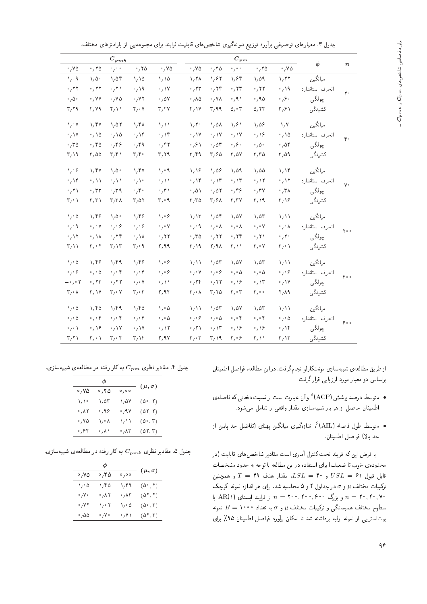|  |  |  |  | جدول ۳. معیارهای توصیفی برأورد توزیع نمونهگیری شاخصهای قابلیت فرایند برای مجموعهیی از پارامترهای مختلف. |  |
|--|--|--|--|---------------------------------------------------------------------------------------------------------|--|
|--|--|--|--|---------------------------------------------------------------------------------------------------------|--|

|                                      |                                                             | $C_{pmk}$                    |                                       |                            |                                 |                                 | $C_{pm}$                   |                                |                                      | $\phi$           |                  |
|--------------------------------------|-------------------------------------------------------------|------------------------------|---------------------------------------|----------------------------|---------------------------------|---------------------------------|----------------------------|--------------------------------|--------------------------------------|------------------|------------------|
| $\cdot$ , Y $\circ$                  | .70                                                         | 0/0.0                        | $-$ , ۲۵                              | $-\cdot/40$                | $\cdot$ , YQ                    | .70                             | 0/0.0                      | $-$ , ۲۵                       | $-\cdot/Y\Delta$                     |                  | $\boldsymbol{n}$ |
| $\sqrt{2}$                           | $\setminus \Delta$                                          | 1,04                         | 1/10                                  | 1/10                       | 1,7 <sub>A</sub>                | 1.87                            | 1.84                       | 1,01                           | 1,77                                 | ميانگين          |                  |
| $\cdot$ , ۲۲                         | $\cdot$ ,۲۲                                                 | 0, 1)                        | $\cdot$ , 19                          | $\cdot$ / $\vee$           | $\cdot$ , ۲۳                    | .75                             | $\cdot$ , $\tau\tau$       | $\cdot$ ,۲۲                    | $\cdot$ / 19                         | انحراف استاندارد | ٢٠               |
| $\cdot$ , $\Delta \cdot$             | $\cdot$ , Y Y                                               | $\cdot$ , YQ                 | $\cdot$ , YY                          | $\cdot$ , $\Delta V$       | $\cdot$ , $\lambda \Delta$      | $\cdot$ , YA                    | $\cdot$ , 9 $\wedge$       | $\cdot$ ,90                    | $\mathfrak{g}_{\gamma}$              | ڇولگي            |                  |
| $\mathbf{r}, \mathbf{r}$             | $\mathfrak{r}, \mathsf{v} \mathfrak{q}$                     | ۲٫۱۱                         | $\mathfrak{r}_{\ell}\cdot\mathsf{v}$  | $\mathbf{r}/\mathbf{r}$    | $\mathfrak{r}_{1}$ \ Y          | r, q q                          | $\Delta/2$                 | 0,79                           | ۳٫۶۱                                 | كشيدگي           |                  |
| $\setminus$ $\vee$                   | $\sqrt{r}$                                                  | 1,01                         | $\lambda/\gamma\Lambda$               | $\sqrt{1}$                 | $\sqrt{r}$                      | $\lambda/\Delta\lambda$         | $\sqrt{2}$                 | $\sqrt{\Delta^2}$              | $\lambda/\lambda$                    | ميانگين          |                  |
| $\cdot$ , \Y                         | $\cdot$ , \ $\Delta$                                        | $\cdot$ , \ $\circ$          | $\cdot$ , ۱۴                          | $\cdot$ , ۱۴               | $\cdot$ , \Y                    | $\cdot$ , \ $\vee$              | $\cdot$ , \ Y              | $\cdot$ / ۱۶                   | $\cdot$ 10                           | انحراف استاندارد | ۴.               |
| .70                                  | .780                                                        | $\cdot$ , ۴۶                 | $\cdot$ , ۴۹                          | $\cdot$ ,۴۲                | $\mathcal{S}_{1}$ ۰             | $\cdot$ , $\circ$ ۳             | $\mathcal{S}_{\lambda}$ ,  | $\cdot$ , $\Delta \cdot$       | $\cdot$ ,04                          | ڇولگي            |                  |
| $\mathsf{r}\wedge\mathsf{A}$         | $r, \omega$                                                 | ۳٫۴۱                         | $\mathbf{r}, \mathbf{r}$ .            | r, r                       | r, r                            | $r, \epsilon$                   | $r/\Delta v$               | $r_7r_0$                       | $r, \omega$                          | كشيدگي           |                  |
| $\lambda / \delta$                   | 1/fV                                                        | $\lambda/\Delta$ .           | 1/fV                                  | $\lambda / \cdot 9$        | $\lambda/\lambda$               | 1,09                            | 1,09                       | 1,00                           | 1/18                                 | ميانگين          |                  |
| $\cdot$ , ۱۴                         | $\cdot$ / \ \                                               | $\cdot$ / \ \                | $\mathfrak{g} \setminus \mathfrak{g}$ | $\cdot$ / \ \              | $\cdot$ , $\lambda$ ۴           | $\cdot$ , $\lambda$ ۳           | $\cdot$ , $\lambda$ ۳      | $\cdot$ / $\cdot$              | $\cdot$ / ۱۲                         | انحراف استاندارد | ٧٠               |
| $\cdot$ , ۲۱                         | $\cdot$ , $\tau\tau$                                        | $\cdot$ , ۳۹                 | $\cdot$ , ۴۰                          | $\cdot$ , $\uparrow$       | $\cdot$ , $\Delta \lambda$      | .07                             | $\cdot$ ,۴۶                | $\cdot$ ,۳۷                    | $\cdot$ , ۳۸                         | ڇولگي            |                  |
| $\mathsf{r}_{\ell} \cdot \mathsf{v}$ | $\mathbf{r},\mathbf{r}$                                     | $\mathsf{r},\mathsf{r}$      | ۳٫۵۲                                  | ۳٫۰۹                       | r, r                            | ۳٫۶۸                            | ۳٫۳۷                       | ۲٫۱۹                           | $\mathbf{r}_{1}\mathbf{v}$           | كشيدگي           |                  |
| ۰۵ (۱                                | 1.89                                                        | $\setminus \Delta$           | 1.99                                  | $\lambda/\sqrt{2}$         | $\sqrt{\pi}$                    | 1,08                            | $\sqrt{\Delta V}$          | 1.05                           | $\sqrt{1}$                           | ميانگين          |                  |
| $\cdot$ , $\cdot$ 9                  | $\circ$ $\gamma \circ \mathsf{V}$                           | $\circ$ , $\circ$ $\circ$    | $\circ$ $\prime$ $\circ$ $\circ$      | $\circ$ / $\circ$ $\vee$   | $\cdot$ , $\cdot$ 9             | $\circ$ , $\circ$ $\wedge$      | $\cdot$ , $\cdot$ $\wedge$ | $\cdot$ , $\cdot$ Y            | $\cdot$ , $\cdot$ $\wedge$           | انحراف استاندارد | $Y \circ \circ$  |
| $\cdot$ , \ ۲                        | ۰, ۱۸                                                       | $\cdot$ , ۲۴                 | $\cdot$ , \ $\lambda$                 | $\cdot$ , ۲۲               | .70                             | $\cdot$ ,۲۲                     | .75                        | .71                            | $\cdot$ , $\mathsf{Y} \cdot$         | ڇولگي            |                  |
| $\mathsf{r}_1$                       | $\mathsf{r}_\prime\cdot\mathsf{r}$                          | $\mathsf{r}\wedge\mathsf{r}$ | $\mathsf{r}_\ell\cdot\mathsf{q}$      | $\mathsf{Y}_7$ 99          | $\mathsf{r}\wedge\mathsf{A}$    | $\mathsf{Y}_1\mathsf{A}\Lambda$ | ۳٫۱۱                       | $\mathbf{r}\cdot\mathbf{v}$    | $\mathsf{r}_{\ell} \cdot \mathsf{v}$ | كشيدگي           |                  |
| $\lambda / \circ \Delta$             | 1.89                                                        | 1.99                         | 1.99                                  | $\lambda/\sqrt{2}$         | $\sqrt{1}$                      | 1,05                            | $\sqrt{\Delta V}$          | $\sqrt{\Delta r}$              | $\setminus$ $\setminus$              | ميانگين          |                  |
| $\circ$ $\prime$ $\circ$ $\circ$     | $\cdot$ , $\circ$ $\Delta$                                  | $\circ$ , $\circ$ $\uparrow$ | $\circ$ , $\circ$ $\uparrow$          | $\circ$ , $\circ$ $\circ$  | $\circ$ , $\circ$ $\vee$        | $\frac{1}{2}$ of $\frac{1}{2}$  | $\cdot$ , $\cdot$ $\Delta$ | $\circ$ / $\circ$ $\Delta$     | $\circ$ $\prime$ $\circ$ $\circ$     | انحراف استاندارد | $Y \circ \circ$  |
| $-\cdot$ , $\cdot$ ۲                 | $\cdot$ , ۲۳                                                | $\cdot$ , ۲۲                 | $\cdot$ , $\cdot$ Y                   | $\cdot$ / \ \              | .75                             | .77                             | $\mathcal{O}_1$            | $\cdot$ / ۱۳                   | $\cdot$ / $\vee$                     | چولگى            |                  |
| $\mathsf{r}\rho\cdot\mathsf{A}$      | $\mathsf{r}\wedge\mathsf{v}$                                | $\mathbf{r}\cdot\mathbf{v}$  | $\mathbf{r}, \cdot \mathbf{r}$        | Y, Y                       | $\mathsf{r}\rho\cdot\mathsf{A}$ | T/TQ                            | ۳٫۰۳                       | ۰ م ۳                          | ۲,۸۹                                 | كشيدگى           |                  |
| $\lambda / \circ \Delta$             | 1,60                                                        | 1/19                         | 1,70                                  | $\lambda/\delta$           | $\sqrt{)}$                      | 1,05                            | $\lambda/\Delta V$         | 1,05                           | $\setminus$ $\setminus$              | ميانگين          |                  |
| $\cdot$ , $\cdot$ $\Delta$           | $\circ$ , $\circ$ $\circ$                                   | $\cdot$ , $\cdot$ ۴          | $\circ$ , $\circ$ $\uparrow$          | $\circ$ , $\circ$ $\Delta$ | $\cdot$ , $\cdot$ $\circ$       | $\cdot$ , $\cdot$ $\Delta$      | $\cdot$ , $\cdot$ $\cdot$  | $\cdot$ , $\cdot$ ۴            | $\circ$ , $\circ$ $\Delta$           | انحراف استاندارد | $\zeta$ .        |
| $\circ$ / $\circ$ $\lambda$          | $\cdot$ , $\setminus$ ۶                                     | $\cdot$ , \ Y                | $\cdot$ , \ Y                         | .15                        | $\cdot$ , ۲۱                    | $\cdot$ , $\lambda$ ۳           | $\cdot$ / ۱۶               | $\cdot$ , $\lambda$ $\epsilon$ | $\cdot$ , ۱۴                         | چولگى            |                  |
| $\mathsf{r},\mathsf{r}$              | $\mathsf{r}_{\scriptscriptstyle\mathcal{I}}\cdot\mathsf{v}$ | ۳٫۰۴                         | ۲٬۱۴                                  | Y, 9Y                      | $\mathsf{r}_\ell\mathsf{r}$     | $\mathsf{r}\wedge\mathsf{A}$    | ۴٫۰۶                       | ۳٫۱۱                           | $\mathsf{r}\wedge\mathsf{r}$         | كشيدگى           |                  |

از طريق مطالعهي شبيهسازي مونتكارلو انجام گرفت. دراين مطالعه، فواصل اطمينان براساس دو معیار مورد ارزیابی قرار گرفت:

- متوسط درصد پوشش (ACP) ° و آن عبارت است از نسبت دفعاتی که فاصلهی<br>- ایلمنام عامل اسلمنام استفاده از مقامل از مقامل ایلمنام استفاده اطمينان حاصل از هر بار شبيهسازى مقدار واقعى را شامل مىشود.
- متوسط طول فاصله (AIL)<sup>ع</sup>، اندازهگیری میانگین پهنای (تفاضل حد پایین از<br>مسالاتی اطراح اسلما .<br>حد مالا) فواصل اطمينان.

با فرض این که فرایند تحت کنترل آماری است مقادیر شاخصهای قابلیت (در محدودهى خوب تا ضعيف) براى استفاده در اين مطالعه با توجه به حدود مشخصات قابل قبول ۶۱ $L = V$  و ۴۰ $L = S$  و ۱۶ مقدار هدف ۴۹ و همچنین ترکیبات مختلف µ و o در جداول ۴ و ۵ محاسبه شد. برای هر اندازه نمونه کوچک با مع جو بزرگ  $\mathbb{R}^{n}$ و بزرگ ۲۰۰٫۶۰۰ و بزرگ ۲۰۰٫۴۰۰ با  $n=1$ سطوح مختلف همبستگی و ترکیبات مختلف µ و  $\sigma$  به تعداد ١٥٥٥  $B=$  نمونه بوتاستريى از نمونه اوليه برداشته شد تا امكان برأورد فواصل اطمينان ٩٥٪ براى

جدول ۴. مقادیر نظری  $C_{pm}$  به کار رفته در مطالعهی شبیهسازی.

|       | Φ                           |                               |                                                         |
|-------|-----------------------------|-------------------------------|---------------------------------------------------------|
| ۷۵ ه  | ۲۵ ک                        | 0,00                          | $(\mu, \sigma)$                                         |
| いい    | ۱٬۵۳                        | ۱٬۵۷                          | $(\mathsf{d}^\mathsf{o}, \mathsf{Y})$                   |
| ۸۲ و. | ۹۶، ه                       | ۰٫۹۷                          | $(\Delta \texttt{Y}, \texttt{Y})$                       |
| ٬٫۷۵  | $\setminus$ $\cdot$ $\land$ | いい                            | $(\mathfrak{d} \mathfrak{o} \mathfrak{,} \mathfrak{r})$ |
| ۶۴، ه | ۰٫۸۱                        | $^\circ$ , $\wedge\breve{\ }$ | $(\Delta \texttt{Y}, \texttt{Y})$                       |
|       |                             |                               |                                                         |

جدول ۵. مقادیر نظری  $C_{pm}$  به کار رفته در مطالعهی شبیهسازی.

|                                           | φ                                       |                    |                                              |
|-------------------------------------------|-----------------------------------------|--------------------|----------------------------------------------|
| ۷۵ ه                                      | ۲۵ ک                                    | $\circ$ , $\circ$  | $(\mu, \sigma)$                              |
| $\mathcal{N}_{\lambda} \circ \mathcal{Q}$ | ۲٫۴۵                                    | ۱٫۴۹               | $(\mathsf{d}^\mathfrak{o}, \mathsf{r})$      |
| $\cdot$ / Y $\cdot$                       | ۸۲ ز ه                                  | ۰٫۸۳               | $( \delta \mathbf{Y}, \mathbf{Y})$           |
| $\cdot$ , $\mathsf{v}\mathsf{r}$          | $\lambda/\delta$ ۲                      | $\lambda/\sqrt{2}$ | $(\mathfrak{d} \mathfrak{o} , \mathfrak{r})$ |
| $^\circ$ , 55                             | $\mathord{\circ}$ , Y $\mathord{\circ}$ | ۰٫۷۱               | $( \Delta \mathbf{r}, \mathbf{r})$           |
|                                           |                                         |                    |                                              |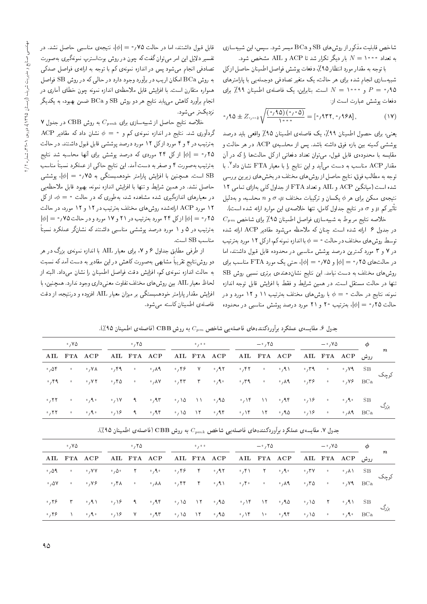شاخص قابلیت مذکور از روش های SB و BCa میسر شود. سپس، این شبیهسازی به تعداد ۱۰۰۰ = N بار دیگر تکرار شد تا ACP و AIL مشخص شود.

با توجه به مقدار مورد انتظار ۹۵٪، دفعات پوشش فواصل اطمينان حاصل ازكل شبیهسازی انجام شده برای هر حالت، یک متغیر تصادفی <mark>د</mark>وجمله $\frac{1}{2}$  با پارامترهای و ۱۰۰۰ =  $P = N$  است. بنابراین، یک فاصلهی اطمینان ۹۹٪ برای  $P = \langle A \rangle$ دفعات يوشش عبارت است از:

$$
\circ_1 90 \pm Z_{\circ_2 \circ \circ_3} \sqrt{\frac{(\circ_1 90) (\circ_1 \circ 0)}{\Delta \circ \circ_3}} = [\circ_1 900, \circ_1 990], \tag{19}
$$

يعني، براي حصول اطمينان ٩٩٪، يک فاصلهي اطمينان ٩٥٪ واقعي بايد درصد پوششی کمینه بین بازه فوق داشته باشد. پس از محاسبهی ACP در هر حالت و مقایسه با محدودهی قابل قبول، می توان تعداد دفعاتی ازکل حالتها راکه در آن مقدار ACP مناسب به دست می[ید و این نتایج را با معیار FTA نشان داد<sup>۷</sup>. با توجه به مطالب فوق، نتايج حاصل از روش هاي مختلف در بخش هاي زيرين بررسي شده است (میانگین ACP و AIL و تعداد FTA از جداول کلی بهازای تمامی ١٢ نتیجهی ممکن برای هر  $\phi$  یکسان و ترکیبات مختلف  $\sigma$  ، و  $n$  محاسبه، و بهدلیل تأثیرکم  $\mu$  و  $\sigma$  در نتایج جداول کامل، تنها خلاصه $\omega$  این موارد ارائه شده است).

 $C_{pm}$  خلاصه نتایج مربوط به شبیهسازی فواصل اطمینان ۹۵٪ برای شاخص در جدول ۶ ارائه شده است. چنان که ملاحظه میشود مقادیر ACP ارائه شده توسط روش های مختلف در حالت • = ﴾ با اندازه نمونه کم، ازکل ١٢ مورد بهترتیب در ۷ و ۳ مورد کمترین درصد پوشش مناسبی در محدوده قابل قبول داشتند، اما در حالتهای ۲۵؍۰ = |¢| و ۰٫۷۵ = |¢|، حتى یک مورد FTA مناسب برای روشهای مختلف به دست نیامد. این نتایج نشاندهندهی برتری نسبی روش SB تنها در حالت مستقل است. در همین شرایط و فقط با افزایش قابل توجه اندازه نمونه، نتایج در حالت • $\phi = 0$  با روشهای مختلف بهترتیب ۱۱ و ۱۲ مورد و در حالت ٢٥٪ = | $\phi$ |، بهترتیب ٢٠ و ٢١ مورد درصد پوشش مناسبی در محدوده

قابل قبول داشتند، اما در حالت ۷۵٫ • = |¢|، نتیجهی مناسبهی حاصل نشد. در تفسیر دلایل این امر میهتوان گفت که چون در روش بوتاسترپ نمونهگیری بهصورت تصادفی انجام میشود پس در اندازه نمونهی کم با توجه به ارائهی فواصل صدکی به روش BCa امکان اریب در برآورد وجود دارد در حالی که در روش SB فواصل همواره متقارن است. با افزایش قابل ملاحظهی اندازه نمونه چون خطای آماری در انجام برّآورد کاهش می،یابد نتایج هر دو روش SB و BCa ضمن بهبود، به یکدیگر نزديکتر مىشود.

Y خلاصه نتایج حاصل از شبیهسازی برای  $C_{pmk}$  به روش CBB در جدول  $\rm{ACP}$  گردآوری شد. نتایج در اندازه نمونهی کم و $\phi=\phi^+$  نشان داد که مقادیر بهترتیب در ۴ و ۴ مورد از کل ۱۲ مورد درصد پوششی قابل قبول داشتند. در حالت ۲۵؍• = |﴿| از کل ۲۴ موردی که درصد پوشش برای آنها محاسبه شد نتایج بهترتیب بهصورت ۴ و صفر به دست آمد. این نتایج حاکمی از عملکرد نسبتاً مناسب است. همچنین با افزایش پارامتر خودهمبستگی به ۷۵؍۰ =  $|\phi| = |\phi|$ ، پوششی حاصل نشد. در همین شرایط و تنها با افزایش اندازه نمونه، بهبود قابل ملاحظهیی در معیارهای اندازهگیری شده مشاهده شد، بهطوری که در حالت $\phi = \phi = 0$ ، از کل ۱۲ مورد ACP ارائهشده روش های مختلف بهترتیب در ۱۲ و ۱۲ مورد، در حالت  $|\phi| = \cdot$ ۲۵ م $|\phi| = |\phi|$  از کل ۲۴ مورد بهترتیب در ۲۱ و ۱۷ مورد و در حالت ۷۵  $|\phi| = |\phi|$ بهترتیب در ۵ و ۱ مورد درصد پوششی مناسبی داشتند که نشانگر عملکرد نسبتاً مناسب SB است.

از طرفی مطابق جداول ۶ و ۷، برای معیار AIL با اندازه نمونهی بزرگ در هر دو روشنتایج تقریباً مشابهی بهصورت کاهش در این مقادیر به دست آمد که نسبت به حالت اندازه نمونهى كم، افزايش دقت فواصل اطمينان را نشان مىداد. البته از لحاظ معیار AIL بین روشهای مختلف تفاوت معنیداری وجود ندارد. همچنین، با افزایش مقدار پارامتر خودهمبستگی بر میزان معیار AIL افزوده و درنتیجه، از دقت فاصلهى اطمينان كاسته مى شود.

| $\cdot$ , Y $\Delta$ |             | $\cdot$ , Y $\circ$ |  | 0/0.0 |                                                                                                                                                                                                                                                                                                                                                                                                              | $ \cdot$ , $\uparrow$ $\circ$ |  | $-\circ$ , Y $\circ$ |                                       |                |  |
|----------------------|-------------|---------------------|--|-------|--------------------------------------------------------------------------------------------------------------------------------------------------------------------------------------------------------------------------------------------------------------------------------------------------------------------------------------------------------------------------------------------------------------|-------------------------------|--|----------------------|---------------------------------------|----------------|--|
|                      | AIL FTA ACP |                     |  |       | روش AIL FTA ACP AIL FTA ACP AIL FTA ACP AIL FTA ACP بروشی                                                                                                                                                                                                                                                                                                                                                    |                               |  |                      |                                       |                |  |
|                      |             |                     |  |       | $\circ$ / $\lambda$ / $\lambda$ / $\lambda$ / $\lambda$ / $\lambda$ / $\lambda$ / $\lambda$ / $\lambda$ / $\lambda$ / $\lambda$ / $\lambda$ / $\lambda$ / $\lambda$ / $\lambda$ / $\lambda$ / $\lambda$ / $\lambda$ / $\lambda$ / $\lambda$ / $\lambda$ / $\lambda$ / $\lambda$ / $\lambda$ / $\lambda$ / $\lambda$ / $\lambda$ / $\lambda$ / $\lambda$ / $\lambda$ / $\lambda$ / $\lambda$                  |                               |  |                      |                                       | $\cdot$ , Y SB |  |
|                      |             |                     |  |       | $\circ$ $/$ $\uparrow$ $\uparrow$ $\circ$ $\circ$ $/$ $\downarrow$ $\uparrow$ $\uparrow$ $\uparrow$ $\uparrow$ $\uparrow$ $\uparrow$ $\uparrow$ $\uparrow$ $\uparrow$ $\uparrow$ $\uparrow$ $\uparrow$ $\uparrow$ $\uparrow$ $\uparrow$ $\uparrow$ $\uparrow$ $\uparrow$ $\uparrow$ $\uparrow$ $\uparrow$ $\uparrow$ $\uparrow$ $\uparrow$ $\uparrow$ $\uparrow$ $\uparrow$ $\uparrow$ $\uparrow$ $\uparrow$ |                               |  |                      | $\cdot$ , Y $\epsilon$ BCa            |                |  |
|                      |             |                     |  |       | $\circ_7$ ۲۲ $\circ$ $\circ_7$ ۹ $\circ$ $\circ_7$ ۹۷ ۹ $\circ_7$ ۹۵ $\circ_7$ ۹۵ $\circ_7$ ۹۵ $\circ_7$ ۹۴ $\circ_7$ ۹۴ $\circ_7$ ۹۶ $\circ$ $\circ_7$ ۹ $\circ$ SB                                                                                                                                                                                                                                         |                               |  |                      |                                       |                |  |
|                      |             |                     |  |       | $\circ$ <sub>,</sub> YT $\circ$ $\circ$ , A $\circ$ $\circ$ , AT $\circ$ , AT $\circ$ , AT $\circ$ , AT $\circ$ , AT $\circ$ , AQ $\circ$ , AP $\circ$                                                                                                                                                                                                                                                       |                               |  |                      | $\cdot$ , $\mathsf{A} \mathsf{A}$ BCa |                |  |

جدول ۶. مقایسه ی عملکرد برآوردکنندههای فاصلهیی شاخص  $C_{pm}$  به روش  $\mathbf{CBB}$  (فاصله ی اطمینان ۹۵٪).

|  |                                                                                                                                                       |  | جدول ۷. مقایسهی عملکرد برآوردکنندههای فاصلهیی شاخص $C_{pmk}$ به روش $\text{CBB}$ (فاصلهی اطمینان ۹۵٪). |  |  |  |  |  |  |
|--|-------------------------------------------------------------------------------------------------------------------------------------------------------|--|--------------------------------------------------------------------------------------------------------|--|--|--|--|--|--|
|  | بزرگ ۶۵ ۰٫۹۰ ۰٫۹۴ ۰٫۱۵ ۰٫۱۴ ۱۱ ۰٫۹۴ ۰٫۱۶ ۰ ۰٫۹۰ ۰٫۹۴ ۰٫۱۷ ۹ ۰٫۹۳ ۰٫۱۷ ۰ ۰٫۹۰ ۰٫۹۴<br>۲۲ ۰ ۰٫۹۰ ۰٫۱۶ ۹ ۰٫۹۴ ۰٫۱۵ ۱۲ ۰٫۹۴ ۰٫۱۴ ۱۲ ۰٫۹۵ ۰٫۱۶ ۵ ۰٫۹۴ ۰٫۱۶ |  |                                                                                                        |  |  |  |  |  |  |
|  |                                                                                                                                                       |  |                                                                                                        |  |  |  |  |  |  |
|  | ر<br>۳۹ ۰ ۰٫۷۲ ۰٫۴۵ ۰ ۰٫۸۷ ۰٫۴۳ ۳ ۰٫۹۰ ۰٫۳۹ ۰ ۰٫۸۹ ۰٫۳۶ ۵ ۰٫۷۶ BCa                                                                                    |  |                                                                                                        |  |  |  |  |  |  |
|  |                                                                                                                                                       |  |                                                                                                        |  |  |  |  |  |  |

| $\phi$                    | $-\circ$ , Y $\circ$ |                                                                                                                                                                                                                                                                                                                                                                                        | $ \cdot$ , $\tau$ $\circ$ |  | 0/0.0 |  | $^{\circ}$ , ۲۵ |             | $\cdot$ , Y $\circ$ |                              |
|---------------------------|----------------------|----------------------------------------------------------------------------------------------------------------------------------------------------------------------------------------------------------------------------------------------------------------------------------------------------------------------------------------------------------------------------------------|---------------------------|--|-------|--|-----------------|-------------|---------------------|------------------------------|
|                           |                      | روش AIL FTA ACP AIL FTA ACP AIL FTA ACP AIL FTA ACP بروش                                                                                                                                                                                                                                                                                                                               |                           |  |       |  |                 | AIL FTA ACP |                     |                              |
| $\cdot$ / $\wedge$ \ $SB$ |                      | $\circ$ $\circ$ $\gamma$ V $\circ$ $\circ$ $\circ$ $\gamma$ $\circ$ $\circ$ $\gamma$ $\gamma$ $\circ$ $\gamma$ $\gamma$ $\circ$ $\gamma$ $\circ$ $\gamma$ $\circ$ $\gamma$ $\circ$ $\gamma$ $\circ$ $\gamma$ $\circ$ $\gamma$ $\circ$ $\gamma$ $\circ$ $\gamma$ $\circ$ $\gamma$ $\circ$ $\gamma$ $\circ$ $\gamma$ $\circ$ $\gamma$ $\circ$ $\gamma$ $\circ$ $\gamma$ $\circ$ $\gamma$ |                           |  |       |  |                 |             |                     | $^{\circ}$ , 0.9. $^{\circ}$ |
|                           |                      |                                                                                                                                                                                                                                                                                                                                                                                        |                           |  |       |  |                 |             |                     | $\cdot$ , $\Delta V$         |
|                           |                      | $\mathsf{r}$ $\circ$ $\mathsf{r}$ $\circ$ $\mathsf{r}$ $\mathsf{r}$ $\circ$ $\mathsf{r}$ $\circ$ $\mathsf{r}$ $\circ$ $\mathsf{r}$ $\circ$ $\mathsf{r}$ $\circ$ $\mathsf{r}$ $\circ$ $\mathsf{r}$ $\circ$ $\mathsf{r}$ $\circ$ $\mathsf{r}$ $\circ$ $\mathsf{r}$ $\circ$ $\mathsf{r}$ $\circ$ $\mathsf{r}$ $\circ$ $\mathsf{r}$ $\circ$ $\$                                            |                           |  |       |  |                 |             |                     | $\circ$ , $\uparrow \circ$   |
|                           |                      | $\circ_1$ ۲۶ 1 $\circ_1$ ۹۰ $\circ_1$ ۱۶ ۱/۹ $\circ_1$ ۹۲ $\circ_1$ ۹۵ 1/1 $\circ_1$ ۹۵ $\circ_1$ ۱۴ 10 $\circ_1$ ۹۴ $\circ_1$ ۱۵ $\circ$ $\circ_1$ ۹ $\circ$ BCa                                                                                                                                                                                                                      |                           |  |       |  |                 |             |                     |                              |
|                           |                      |                                                                                                                                                                                                                                                                                                                                                                                        |                           |  |       |  |                 |             |                     |                              |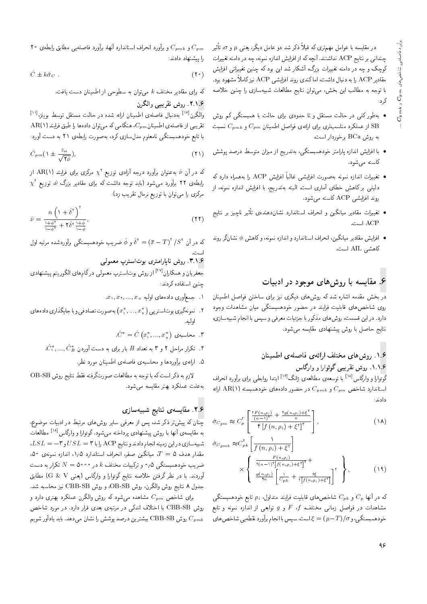در مقایسه با عوامل مهمتری که قبلاً ذکر شد دو عامل دیگر، یعنی µ و v، تاثیر<br>. چندانی بر نتایج ACP نداشتند. آنچه که از افزایش اندازه نمونه، چه در دامنه تغییرات کوچک و چه در دامنه تغییرات بزرگ، آشکار شد این بود که چنین تغییراتی افزایش مقادیر ACP را به دنبال داشت، اماکندی روند افزایشی ACP نیزکاملاً مشهود بود. با توجه به مطالب اين بخش، مىتوان نتايج مطالعات شبيهسازى را چنين خلاصه کرد:<br>-

- بهطور کلبی در حالت مستقل و تا حدودی برای حالت با همبستگی کم روش از عملکرد مناسبتری برای ارائهی فواصل اطمینان  $C_{pm}$  و  $\mathrm{SB}$  نسبت  $\mathrm{SB}$ به روش BCa برخوردار است.
- $\bullet$  با افزایش اندازه پارامتر خودهمبستگی، بهتدریج از میزان متوسط درصد پوشش کاسته مے شود.
- تغييرات اندازه نمونه بهصورت افزايشي غالباً افزايش ACP را بههمراه دارد كه  $\bullet$ دلیل<sub>ی</sub> بر کاهش خطای آماری است. البته بهتدریج، با افزایش اندازه نمونه، از روند افزایشی ACP کاسته میشود.
- تغییرات مقادیر میانگین و انحراف استاندارد نشان۵هنده، تاثیر ناچیز بر نتایج<br>مطلقه دار است.  $\text{ACP}$
- افزایش مقادیر میانگین، انحراف استاندارد و اندازه نمونه، وکاهش  $\phi$  نشانگر روند  $\bullet$ كاهشى AIL است.

### ۶. مقایسه با روشهای موجود در ادبیات

در بخش مقدمه اشاره شد که روشهای دیگری نیز برای ساختن فواصل اطمینان روی شاخص های قابلیت فرایند در حضور خودهمبستگی میان مشاهدات وجود دارد. در این قسمت، روش های مذکور با جزئیات معرفی و سپس با انجام شبیهسازی، نتايج حاصل با روش پيشنهادى مقايسه مىشود.

#### ۱.۶. روش های مختلف ارائهی فاصلهی اطمینان ۱.۱.۶. روش تقریبی گوئوارا و وارگاس

گوئوارا و وارگاس<sup>[۱۸</sup> با توسعه،ی مطالعه،ی ژانگ<sup>[۱۶]</sup> ابتدا روابطی برای برآورد انحراف<br>اسلندار مقابلیت استاندارد شاخص  $C_{pm}$  و  $C_{pm}$  در حضور دادههای خودهمبسته (۱ AR(۱) ارائه دادند:

$$
\hat{\sigma}_{C_{pm}} \approx C_p^{\dagger} \left[ \frac{\frac{\text{t}F(n,\rho_i)}{(n-1)^{\dagger}} + \frac{\text{t}g(n,\rho_i) + \xi^{\dagger}}{n}}{\text{f}[f(n,\rho_i) + \xi^{\dagger}]^{\dagger}} \right],
$$
\n
$$
(1\text{A})
$$

$$
\hat{\sigma}_{C_{pmk}} \approx C_{pk}^{\dagger} \left[ \frac{1}{f(n,\rho_i) + \xi^{\dagger}} \right] \times \begin{Bmatrix} \frac{F(n,\rho_i)}{\tau(n-1)^{\dagger} [f(n,\rho_i) + \xi^{\dagger}]^{\dagger}} + \\ \frac{g(n,\rho_i)}{\tau_n} \left[ \frac{1}{C_{pk}} + \frac{\xi \xi}{\tau [f(n,\rho_i) + \xi^{\dagger}]} \right]^{\dagger} \end{Bmatrix},
$$
\n(14)

كه در آنها  $C_p$  و  $C_p$  شاخصهای قابلیت فرایند متداول،  $\rho_i$  تابع خودهمبستگی مشاهدات در فواصل زمانی مختلف،  $F$  ،  $F$  و  $g$  توابعی از اندازه نمونه و تابع خودهمبستگی،و $\langle\sigma\cap T|/\sigma=1$ است. سپس با انجام برآورد نقطه یی شاخص های

20 و  $C_{pmk}$  و برآورد انحراف استاندارد أنها، برآورد فاصلهیی مطابق رابطهی ۲۰  $C_{pm}$ را پیشنهاد دادند:

$$
\hat{C} \pm k \hat{\sigma}_C \tag{1} \tag{1}
$$

كه براى مقادير مختلف k مىتوان به سطوحى از اطمينان دست يافت.

#### ۲.۱.۶. روش تقريبي والگرن

والگرن<sup>[۱۷]</sup> بهدنبال فاصلهی اطمینان ارائه شده در حالت مستقل توسط بویلزن<sup>ا ۱۱</sup>]<br>-- $AR(1)$  تقریبی از فاصلهی اطمینان $C_{pm}$ ، هنگامی که می توان دادهها را طبق فرایند با تابع خودهمبستگی نامعلوم مدل $\omega$ ازی کرد، بهصورت رابطه $\Omega$  '۲۱ به دست آورد

$$
\hat{C}_{pm}(\lambda \pm \frac{z_{\alpha}}{\sqrt{\gamma_{\hat{\nu}}}}),\tag{1}
$$

که در آن  $\alpha$  به عنوان برآورد درجه آزادی توزیع  $\chi^{\chi}$  مرکزی برای فرایند (۱)AR از  $\chi^{\chi}$  $\chi^{\dag}$  ورابطهی ۲۲ برآورد میشود (باید توجه داشت که برای مقادیر بزرگ  $\hat{\omega}$  توزیع $\chi^{\dag}$ مرکزی را می توان با توریع نرمال تقریب زد):

$$
\hat{\nu} = \frac{n\left(1 + \hat{\delta}^{\dagger}\right)^{\dagger}}{\frac{1 + \hat{\phi}^{\dagger}}{1 - \hat{\phi}^{\dagger}} + \mathbf{Y}\hat{\delta}^{\dagger}\frac{1 + \hat{\phi}}{1 - \hat{\phi}}},\tag{77}
$$

که در آن  $\delta^{\tau} = (\bar{x} - T)^{\tau}/S^{\tau}$  و  $\hat{\phi}$  ضریب خودهمبستگی برآوردشده مرتبه اول $\cdot$ 

#### است.<br>۱۶ ۳.۱.۶. روش ناپارامتری بوتاسترپ معمولی<br>اسلام

جعفریان و همکاران<sup>[۲۷]</sup> از روش بوتاسترپ معمولی درگامهای الگوریتم پیشنهادی<br>مصافیات چنین استفاده کردند:

- $x_1, x_7, ..., x_n$  اب جمعآوری دادههای اولیه $x_1, ..., x_n$
- ۲ . نمونهگیری بوتاستر پی ( $x_1^*,...,x_n^*$ ) به صورت تصادفی و با جایگذاری دادههای<br>الم اوليه.
	- . محاسبەی  $\hat{C}^* = \hat{C} \left( x_1^*,..., x_n^* \right)$  . ۳
	- $\hat{C}^*_1,...,\hat{C}^*_B$  . تکرار مراحل ۲ و ۳ به تعداد  $B$  بار برای به دست آوردن  $\hat{C}^*_3$ 
		- 0. ارائهى برأوردها و محاسبهى فاصلهى اطمينان مورد نظر.

 $\rm{OB-SB}$  لازم به ذكر است كه با توجه به مطالعات صورتگرفته فقط نتايج روش به علت عملكرد بهتر مقايسه مى شود.

#### ۲.۶. مقایسهی نتایج شبیهسازی

چنان که پیش تر ذکر شد، پس از معرفی سایر روش های مرتبط در ادبیات موضوع، به مقایسهی آنها با روش پیشنهادی پرداخته میشود.گوئوارا و وارگاس<sup>[۱۸]</sup> مطالعات<br>مسیحی استان استان اسلام اسلام اسلام برای استان میشود و میشود و میشود و میشود  $\Delta S L = -\mathbf{v}$ شبیهسازی در این زمینه انجام دادند و نتایج ACP را با .30 مقدار هدف  $T=0$ ، میانگین صفر، انحراف استاندارد ۱٫۵، اندازه نمونهی ضریب خودهمبستگی ۰٫۵ و ترکیبات مختلف k در ۰۰۰۰  $N=$  تکرار به دست آوردند. با در نظر گرفتن خلاصه نتایج گوئوارا و وارگاس (یعنبی G & V) مطابق جدول ٨ نتايج روش والگرن، روش OB-SB، و روش CBB-SB نيز محاسبه شد.

برای شاخص  $C_{pm}$  مشاهده میشود که روش والگرن عملکرد بهتری دارد و روش CBB-SB با اختلاف اندکی در مرتبهی بعدی قرار دارد. در مورد شاخص روش  ${\rm CBB\text{-}SB}$  بیشترین درصد پوشش را نشان میدهد. باید یادآور شویم  $C_{pmk}$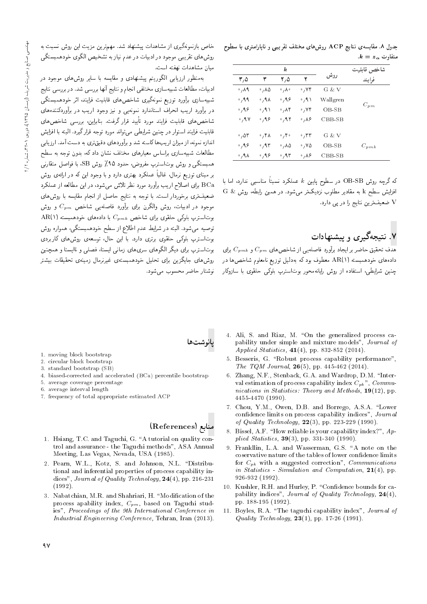| جدول ۸. مقایسه ی نتایج ACP روشهای مختلف تقریبی و ناپارامتری با سطوح |  |  |                                                         |  |
|---------------------------------------------------------------------|--|--|---------------------------------------------------------|--|
|                                                                     |  |  | $\cdot {\boldsymbol k} = {\boldsymbol z}_\alpha$ متفاوت |  |

|                      |                      | $\boldsymbol{k}$           |                            |          | شاخص قابليت |
|----------------------|----------------------|----------------------------|----------------------------|----------|-------------|
| ۳٫۵                  | ٣                    | ۲٫۵                        | ۲                          | روش      | فرايند      |
| $\cdot$ , $\wedge$ 9 | ۸۵، ۰                | $\circ$ , $\wedge$ $\circ$ | $\cdot$ , YF               | G & V    |             |
| $\cdot$ , 9, 9,      | ۸۹۰ ق                | ۹۶، ۰                      | ۰٫۹۱                       | Wallgren |             |
| $\cdot$ , 98         | $\cdot$ , 9 $\wedge$ | $\cdot$ , $\wedge$ ۴       | ٬٫۷۴                       | $OB-SB$  | $C_{pm}$    |
| $\cdot$ , 9 $\vee$   | 0,99                 | ۶٫۹۲                       | $\cdot$ , $\wedge$ $\circ$ | $CBB-SB$ |             |
| $\cdot$ , $\Delta r$ | ٬٫۴۸                 | $\circ$ , ۴ $\circ$        | $\cdot$ , ۳۳               | G & V    |             |
| $\cdot$ , 98         | .45                  | ۰٬۸۵                       | ۷۵، ۰                      | OB-SB    | $C_{pmk}$   |
| ۰٫۹۸                 | ۹۶، ۰                | ۶٫۹۳                       | ۸۶، ۰                      | $CBB-SB$ |             |

كه گرچه روش OB-SB در سطوح پايين & عملكرد نسبتاً مناسبى ندارد، اما با افزایش سطح k به مقادیر مطلوب نزدیکتر میشود. در همین رابطه، روش & G V ضعیفترین نتایج را در یی دارد.

# .<br>۷. نتیجهگیری و پیشنهادات

 $\overline{C}_{pm}$ هدف تحقیق حاضر بر ایجاد برآورد فاصله یی از شاخصهای  $\overline{C}_{pm}$  و  $\overline{C}_{pm}$  برای دادههای خودهمبسته (۱)AR معطوف بود که بهدلیل توزیع نامعلوم شاخصها در ۔<br>چنین شرایطی، استفاده از روش رایانهمحور بوتاسترپ بلوکی حلقوی با سازوکار

خاص بازنمونهگیری از مشاهدات پیشنهاد شد. مهم ترین مزیت این روش نسبت به روشهای تقریبی موجود در ادبیات در عدم نیاز به تشخیص الگوی خودهمبستگی ميان مشاهدات نهفته است.

بهمنظور ارزیابی الگوریتم پیشنهادی و مقایسه با سایر روشهای موجود در ادبیات، مطالعات شبیهسازی مختلفی انجام و نتایج آنها بررسی شد. در بررسی نتایج .<br>شبیهسازی برآورد توزیع نمونهگیری شاخصهای قابلیت فرایند، اثر خودهمبستگ<sub>ی</sub> در برآورد اریب انحراف استاندارد نمونهیی و نیز وجود اریب در برآوردکنندههای شاخص های قابلیت فرایند مورد تأیید قرار گرفت. بنابراین، بررسی شاخص های ۔<br>قابلیت فرایند استوار در حنین شرایطے ،مے تواند مورد توجه قرار گیرد. البته با افزایش اندازه نمونه، از میزان ار یب ها کاسته شد و برآوردهای دقیق تری به دست آمد. ارز پایی مطالعات شبیهسازی براساس معیارهای مختلف نشان داد که، بدون توجه به سطح همبستگی و روش بوتاسترپ مفروض، حدود ۹۵٪ روش SB، با فواصل متقارنبی بر مبنای توزیع نرمال، غالباً عملکرد بهتری دارد و با وجود این که در ارائهی روش BCa برای اصلاح اریب برآورد مورد نظر تلاش میشود، در این مطالعه از عملکرد ضعیفتری برخوردار است. با توجه به نتایج حاصل از انجام مقایسه با روش های موجود در ادبیات، روش والگرن برای برآورد فاصلهیی شاخص  $C_{pm}$  و روش AR(۱) بوتاسترپ بلوکی حلقوی برای شاخص  $C_{pmk}$  با دادههای خودهمبسته توصیه میشود. البته در شرایط عدم اطلاع از سطح خودهمبستگی، همواره روش بوتاسترپ بلوکی حلقوی برتری دارد. با این حال، توسعهی روشهای کاربردی .<br>موتاسترب برای دیگر الگوهای سریهای زمانی ایستا، فصلی و ناایستا و همچنین روشهای جایگزین برای تحلیل خودهمبستهی غیرنرمال زمینهی تحقیقات بیشتر نوشتار حاضر محسوب می شود.

- 1. moving block bootstrap
- 2. circular block bootstrap
- 3. standard bootstrap (SB)
- 4. biased-corrected and accelerated (BCa) percentile bootstrap
- 5. average coverage percentage
- 6. average interval length
- 7. frequency of total appropriate estimated ACF

#### منابع (References)

- 1. Hsiang, T.C. and Taguchi, G. "A tutorial on quality control and assurance - the Taguchi methods", ASA Annual Meeting, Las Vegas, Nevada, USA (1985).
- 2. Pearn, W.L., Kotz, S. and Johnson, N.L. "Distributional and inferential properties of process capability indices", Journal of Quality Technology,  $24(4)$ , pp. 216-231  $(1992)$ .
- 3. Nabatchian, M.R. and Shahriari, H. "Modification of the process apability index,  $C_{pm}$ , based on Taguchi studies", Proceedings of the 9th International Conference in Industrial Engineering Conference, Tehran, Iran (2013).
- 4. Ali, S. and Riaz, M. "On the generalized process capability under simple and mixture models", Journal of *Applied Statistics*,  $41(4)$ , pp. 832-852 (2014).
- 5. Besseris, G. "Robust process capability performance", The TQM Journal,  $26(5)$ , pp. 445-462 (2014).
- 6. Zhang, N.F., Stenback, G.A. and Wardrop, D.M. "Interval estimation of process capability index  $C_{pk}$ ",  $Commu$ nications in Statistics: Theory and Methods,  $19(12)$ , pp. 4455-4470 (1990).
- 7. Chou, Y.M., Owen, D.B. and Borrego, A.S.A. "Lower confidence limits on process capability indices", Journal of Quality Technology,  $22(3)$ , pp. 223-229 (1990).
- 8. Bissel, A.F. "How reliable is your capability index?", Applied Statistics,  $39(3)$ , pp. 331-340 (1990).
- 9. Frankllin, L.A. and Wasserman, G.S. "A note on the coservative nature of the tables of lower confidence limits for  $C_{pk}$  with a suggested correction", *Communications* in Statistics - Simulation and Computation,  $21(4)$ , pp. 926-932 (1992).
- 10. Kushler, R.H. and Hurley, P. "Confidence bounds for capability indices", Journal of Quality Technology, 24(4), pp. 188-195 (1992).
- 11. Boyles, R.A. "The taguchi capability index", Journal of Quality Technology,  $23(1)$ , pp. 17-26 (1991).